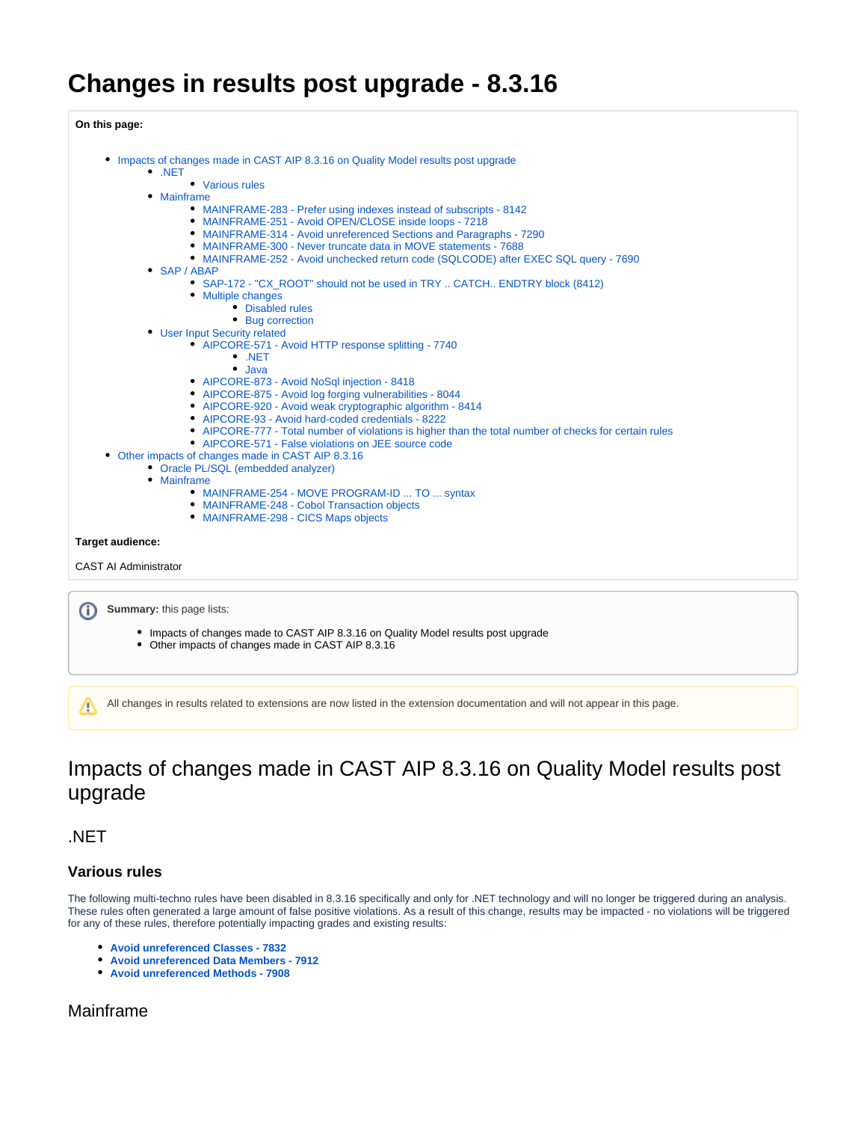# **Changes in results post upgrade - 8.3.16**

**On this page:**

- [Impacts of changes made in CAST AIP 8.3.16 on Quality Model results post upgrade](#page-0-0)
	- [.NET](#page-0-1)
		- [Various rules](#page-0-2) [Mainframe](#page-0-3)
			- [MAINFRAME-283 Prefer using indexes instead of subscripts 8142](#page-0-4)
			- [MAINFRAME-251 Avoid OPEN/CLOSE inside loops 7218](#page-1-0)
			- [MAINFRAME-314 Avoid unreferenced Sections and Paragraphs 7290](#page-1-1)
			- [MAINFRAME-300 Never truncate data in MOVE statements 7688](#page-1-2)
			- [MAINFRAME-252 Avoid unchecked return code \(SQLCODE\) after EXEC SQL query 7690](#page-1-3)
	- [SAP / ABAP](#page-1-4)
		- [SAP-172 "CX\\_ROOT" should not be used in TRY .. CATCH.. ENDTRY block \(8412\)](#page-1-5)
		- [Multiple changes](#page-1-6)
			- [Disabled rules](#page-1-7)
			- [Bug correction](#page-1-8)
	- [User Input Security related](#page-2-0)
		- [AIPCORE-571 Avoid HTTP response splitting 7740](#page-2-1)
			- [.NET](#page-2-2) [Java](#page-2-3)
			- [AIPCORE-873 Avoid NoSql injection 8418](#page-2-4)
			- [AIPCORE-875 Avoid log forging vulnerabilities 8044](#page-2-5)
			- [AIPCORE-920 Avoid weak cryptographic algorithm 8414](#page-2-6)
			- [AIPCORE-93 Avoid hard-coded credentials 8222](#page-2-7)
			- [AIPCORE-777 Total number of violations is higher than the total number of checks for certain rules](#page-2-8)
			- [AIPCORE-571 False violations on JEE source code](#page-3-0)
- [Other impacts of changes made in CAST AIP 8.3.16](#page-3-1)
	- [Oracle PL/SQL \(embedded analyzer\)](#page-3-2)
	- [Mainframe](#page-3-3)
		- [MAINFRAME-254 MOVE PROGRAM-ID ... TO ... syntax](#page-3-4)
		- [MAINFRAME-248 Cobol Transaction objects](#page-3-5)
		- [MAINFRAME-298 CICS Maps objects](#page-3-6)

#### **Target audience:**

CAST AI Administrator

**Summary:** this page lists: ⋒

- Impacts of changes made to CAST AIP 8.3.16 on Quality Model results post upgrade
- Other impacts of changes made in CAST AIP 8.3.16

All changes in results related to extensions are now listed in the extension documentation and will not appear in this page.Λ

# <span id="page-0-0"></span>Impacts of changes made in CAST AIP 8.3.16 on Quality Model results post upgrade

<span id="page-0-1"></span>.NET

#### <span id="page-0-2"></span>**Various rules**

The following multi-techno rules have been disabled in 8.3.16 specifically and only for .NET technology and will no longer be triggered during an analysis. These rules often generated a large amount of false positive violations. As a result of this change, results may be impacted - no violations will be triggered for any of these rules, therefore potentially impacting grades and existing results:

- **[Avoid unreferenced Classes 7832](https://technologies.castsoftware.com/rules?s=7832|qualityrules|7832)**
- **[Avoid unreferenced Data Members 7912](https://technologies.castsoftware.com/rules?s=7912|qualityrules|7912)**
- **[Avoid unreferenced Methods 7908](https://technologies.castsoftware.com/rules?s=7908|qualityrules|7908)**

## <span id="page-0-4"></span><span id="page-0-3"></span>Mainframe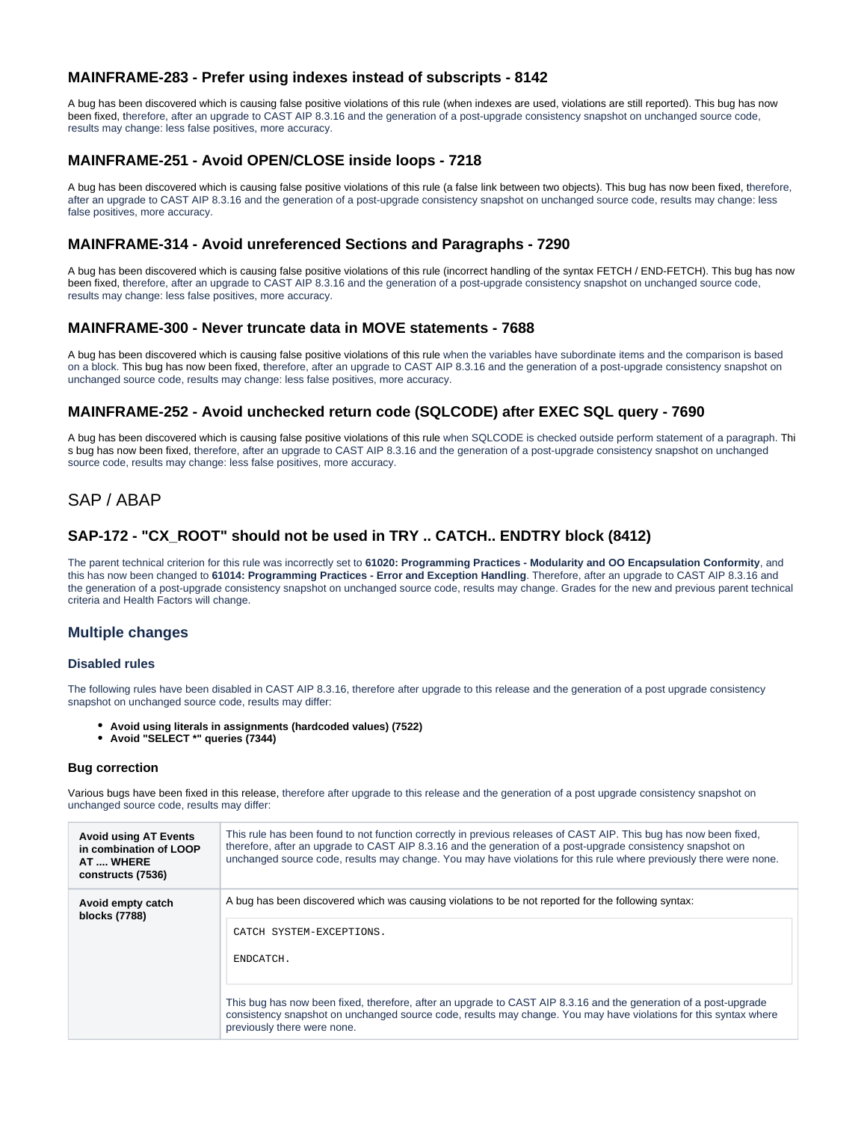## **MAINFRAME-283 - Prefer using indexes instead of subscripts - 8142**

A bug has been discovered which is causing false positive violations of this rule (when indexes are used, violations are still reported). This bug has now been fixed, therefore, after an upgrade to CAST AIP 8.3.16 and the generation of a post-upgrade consistency snapshot on unchanged source code, results may change: less false positives, more accuracy.

# <span id="page-1-0"></span>**MAINFRAME-251 - Avoid OPEN/CLOSE inside loops - 7218**

A bug has been discovered which is causing false positive violations of this rule (a false link between two objects). This bug has now been fixed, therefore, after an upgrade to CAST AIP 8.3.16 and the generation of a post-upgrade consistency snapshot on unchanged source code, results may change: less false positives, more accuracy.

## <span id="page-1-1"></span>**MAINFRAME-314 - Avoid unreferenced Sections and Paragraphs - 7290**

A bug has been discovered which is causing false positive violations of this rule (incorrect handling of the syntax FETCH / END-FETCH). This bug has now been fixed, therefore, after an upgrade to CAST AIP 8.3.16 and the generation of a post-upgrade consistency snapshot on unchanged source code, results may change: less false positives, more accuracy.

## <span id="page-1-2"></span>**MAINFRAME-300 - Never truncate data in MOVE statements - 7688**

A bug has been discovered which is causing false positive violations of this rule when the variables have subordinate items and the comparison is based on a block. This bug has now been fixed, therefore, after an upgrade to CAST AIP 8.3.16 and the generation of a post-upgrade consistency snapshot on unchanged source code, results may change: less false positives, more accuracy.

### <span id="page-1-3"></span>**MAINFRAME-252 - Avoid unchecked return code (SQLCODE) after EXEC SQL query - 7690**

A bug has been discovered which is causing false positive violations of this rule when SQLCODE is checked outside perform statement of a paragraph. Thi s bug has now been fixed, therefore, after an upgrade to CAST AIP 8.3.16 and the generation of a post-upgrade consistency snapshot on unchanged source code, results may change: less false positives, more accuracy.

# <span id="page-1-4"></span>SAP / ABAP

## <span id="page-1-5"></span>**SAP-172 - "CX\_ROOT" should not be used in TRY .. CATCH.. ENDTRY block (8412)**

The parent technical criterion for this rule was incorrectly set to **61020: Programming Practices - Modularity and OO Encapsulation Conformity**, and this has now been changed to **61014: Programming Practices - Error and Exception Handling**. Therefore, after an upgrade to CAST AIP 8.3.16 and the generation of a post-upgrade consistency snapshot on unchanged source code, results may change. Grades for the new and previous parent technical criteria and Health Factors will change.

## <span id="page-1-6"></span>**Multiple changes**

#### <span id="page-1-7"></span>**Disabled rules**

The following rules have been disabled in CAST AIP 8.3.16, therefore after upgrade to this release and the generation of a post upgrade consistency snapshot on unchanged source code, results may differ:

- **Avoid using literals in assignments (hardcoded values) (7522)**
- **Avoid "SELECT \*" queries (7344)**

#### <span id="page-1-8"></span>**Bug correction**

Various bugs have been fixed in this release, therefore after upgrade to this release and the generation of a post upgrade consistency snapshot on unchanged source code, results may differ:

| <b>Avoid using AT Events</b><br>in combination of LOOP<br>AT  WHERE<br>constructs (7536) | This rule has been found to not function correctly in previous releases of CAST AIP. This bug has now been fixed,<br>therefore, after an upgrade to CAST AIP 8.3.16 and the generation of a post-upgrade consistency snapshot on<br>unchanged source code, results may change. You may have violations for this rule where previously there were none.                                                              |
|------------------------------------------------------------------------------------------|---------------------------------------------------------------------------------------------------------------------------------------------------------------------------------------------------------------------------------------------------------------------------------------------------------------------------------------------------------------------------------------------------------------------|
| Avoid empty catch<br>blocks (7788)                                                       | A bug has been discovered which was causing violations to be not reported for the following syntax:<br>CATCH SYSTEM-EXCEPTIONS.<br>ENDCATCH.<br>This bug has now been fixed, therefore, after an upgrade to CAST AIP 8.3.16 and the generation of a post-upgrade<br>consistency snapshot on unchanged source code, results may change. You may have violations for this syntax where<br>previously there were none. |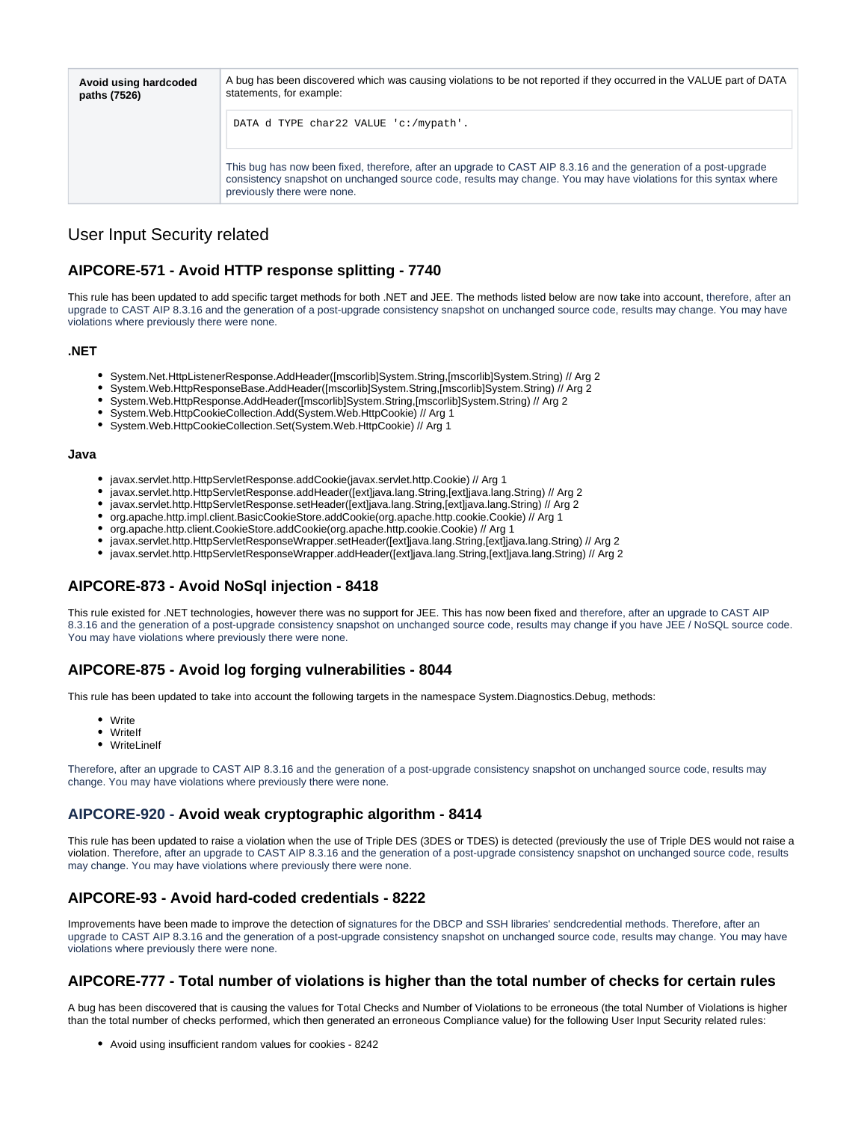| Avoid using hardcoded<br>paths (7526) | A bug has been discovered which was causing violations to be not reported if they occurred in the VALUE part of DATA<br>statements, for example:                                                                                                                    |
|---------------------------------------|---------------------------------------------------------------------------------------------------------------------------------------------------------------------------------------------------------------------------------------------------------------------|
|                                       | DATA d TYPE char22 VALUE 'c:/mypath'.                                                                                                                                                                                                                               |
|                                       | This bug has now been fixed, therefore, after an upgrade to CAST AIP 8.3.16 and the generation of a post-upgrade<br>consistency snapshot on unchanged source code, results may change. You may have violations for this syntax where<br>previously there were none. |

# <span id="page-2-0"></span>User Input Security related

## <span id="page-2-1"></span>**AIPCORE-571 - Avoid HTTP response splitting - 7740**

This rule has been updated to add specific target methods for both .NET and JEE. The methods listed below are now take into account, therefore, after an upgrade to CAST AIP 8.3.16 and the generation of a post-upgrade consistency snapshot on unchanged source code, results may change. You may have violations where previously there were none.

#### <span id="page-2-2"></span>**.NET**

- System.Net.HttpListenerResponse.AddHeader([mscorlib]System.String,[mscorlib]System.String) // Arg 2
- System.Web.HttpResponseBase.AddHeader([mscorlib]System.String,[mscorlib]System.String) // Arg 2
- System.Web.HttpResponse.AddHeader([mscorlib]System.String,[mscorlib]System.String) // Arg 2
- System.Web.HttpCookieCollection.Add(System.Web.HttpCookie) // Arg 1
- $\bullet$ System.Web.HttpCookieCollection.Set(System.Web.HttpCookie) // Arg 1

#### <span id="page-2-3"></span>**Java**

- javax.servlet.http.HttpServletResponse.addCookie(javax.servlet.http.Cookie) // Arg 1
- javax.servlet.http.HttpServletResponse.addHeader([ext]java.lang.String,[ext]java.lang.String) // Arg 2
- javax.servlet.http.HttpServletResponse.setHeader([ext]java.lang.String,[ext]java.lang.String) // Arg 2
- org.apache.http.impl.client.BasicCookieStore.addCookie(org.apache.http.cookie.Cookie) // Arg 1
- org.apache.http.client.CookieStore.addCookie(org.apache.http.cookie.Cookie) // Arg 1
- javax.servlet.http.HttpServletResponseWrapper.setHeader([ext]java.lang.String,[ext]java.lang.String) // Arg 2
- javax.servlet.http.HttpServletResponseWrapper.addHeader([ext]java.lang.String,[ext]java.lang.String) // Arg 2

## <span id="page-2-4"></span>**AIPCORE-873 - Avoid NoSql injection - 8418**

This rule existed for .NET technologies, however there was no support for JEE. This has now been fixed and therefore, after an upgrade to CAST AIP 8.3.16 and the generation of a post-upgrade consistency snapshot on unchanged source code, results may change if you have JEE / NoSQL source code. You may have violations where previously there were none.

## <span id="page-2-5"></span>**AIPCORE-875 - Avoid log forging vulnerabilities - 8044**

This rule has been updated to take into account the following targets in the namespace System.Diagnostics.Debug, methods:

- Write
- Writelf
- WriteLineIf

Therefore, after an upgrade to CAST AIP 8.3.16 and the generation of a post-upgrade consistency snapshot on unchanged source code, results may change. You may have violations where previously there were none.

## <span id="page-2-6"></span>**AIPCORE-920 - Avoid weak cryptographic algorithm - 8414**

This rule has been updated to raise a violation when the use of Triple DES (3DES or TDES) is detected (previously the use of Triple DES would not raise a violation. Therefore, after an upgrade to CAST AIP 8.3.16 and the generation of a post-upgrade consistency snapshot on unchanged source code, results may change. You may have violations where previously there were none.

## <span id="page-2-7"></span>**AIPCORE-93 - Avoid hard-coded credentials - 8222**

Improvements have been made to improve the detection of signatures for the DBCP and SSH libraries' sendcredential methods. Therefore, after an upgrade to CAST AIP 8.3.16 and the generation of a post-upgrade consistency snapshot on unchanged source code, results may change. You may have violations where previously there were none.

## <span id="page-2-8"></span>**AIPCORE-777 - Total number of violations is higher than the total number of checks for certain rules**

A bug has been discovered that is causing the values for Total Checks and Number of Violations to be erroneous (the total Number of Violations is higher than the total number of checks performed, which then generated an erroneous Compliance value) for the following User Input Security related rules:

Avoid using insufficient random values for cookies - 8242